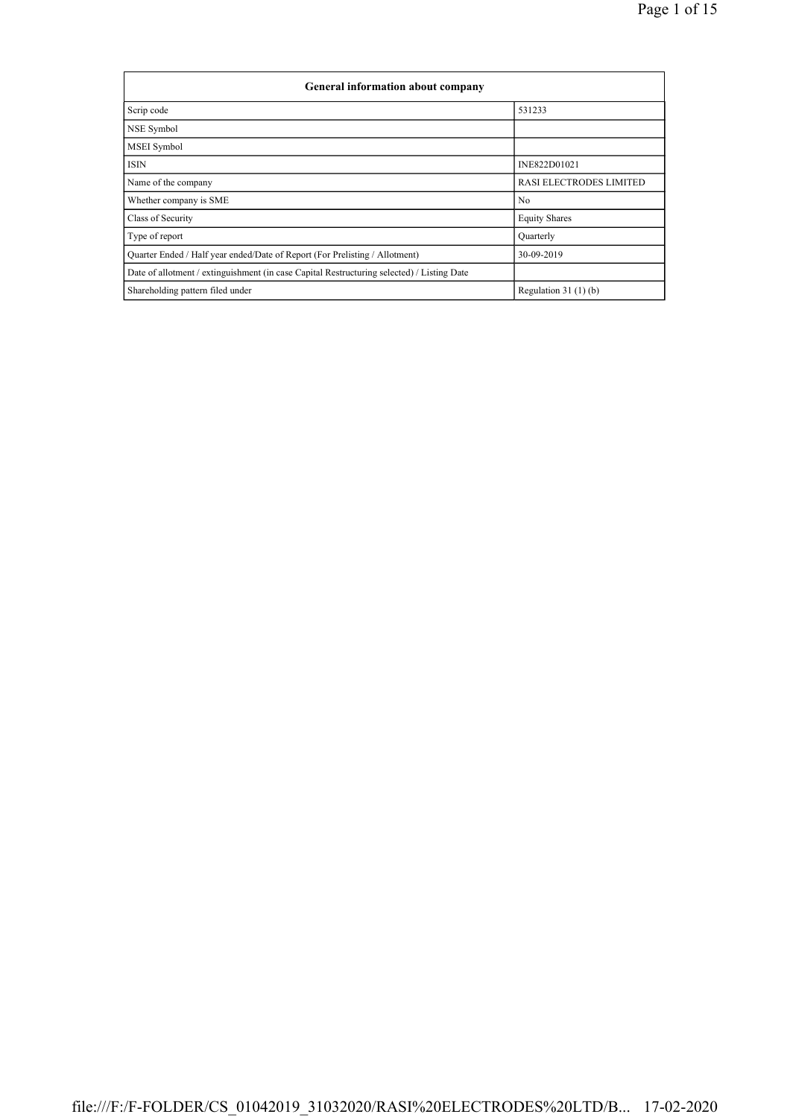| General information about company                                                          |                         |  |  |  |  |  |  |
|--------------------------------------------------------------------------------------------|-------------------------|--|--|--|--|--|--|
| Scrip code                                                                                 | 531233                  |  |  |  |  |  |  |
| NSE Symbol                                                                                 |                         |  |  |  |  |  |  |
| <b>MSEI</b> Symbol                                                                         |                         |  |  |  |  |  |  |
| <b>ISIN</b>                                                                                | INE822D01021            |  |  |  |  |  |  |
| Name of the company                                                                        | RASI ELECTRODES LIMITED |  |  |  |  |  |  |
| Whether company is SME                                                                     | No                      |  |  |  |  |  |  |
| Class of Security                                                                          | <b>Equity Shares</b>    |  |  |  |  |  |  |
| Type of report                                                                             | Ouarterly               |  |  |  |  |  |  |
| Quarter Ended / Half year ended/Date of Report (For Prelisting / Allotment)                | 30-09-2019              |  |  |  |  |  |  |
| Date of allotment / extinguishment (in case Capital Restructuring selected) / Listing Date |                         |  |  |  |  |  |  |
| Shareholding pattern filed under                                                           | Regulation $31(1)(b)$   |  |  |  |  |  |  |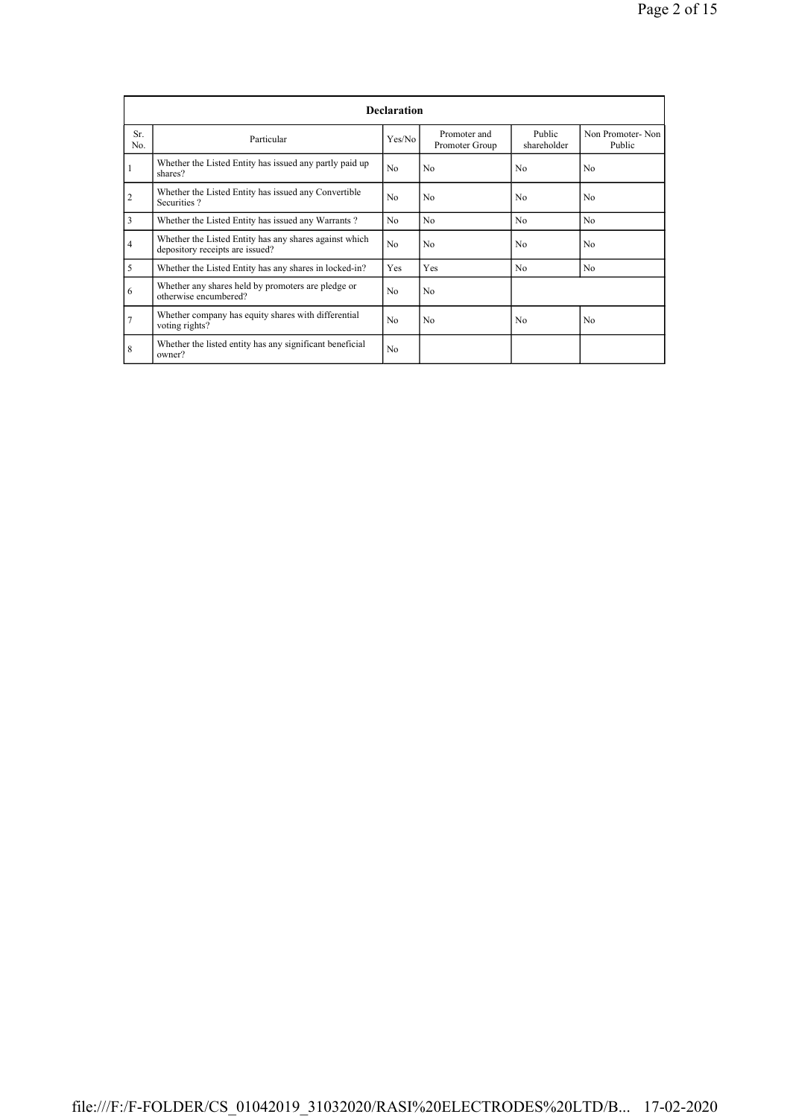|                | <b>Declaration</b>                                                                        |                |                                |                       |                            |  |  |  |  |  |
|----------------|-------------------------------------------------------------------------------------------|----------------|--------------------------------|-----------------------|----------------------------|--|--|--|--|--|
| Sr.<br>No.     | Particular                                                                                | Yes/No         | Promoter and<br>Promoter Group | Public<br>shareholder | Non Promoter-Non<br>Public |  |  |  |  |  |
|                | Whether the Listed Entity has issued any partly paid up<br>shares?                        | N <sub>0</sub> | N <sub>0</sub>                 | No                    | No                         |  |  |  |  |  |
| $\overline{2}$ | Whether the Listed Entity has issued any Convertible<br>Securities?                       | No             | N <sub>0</sub>                 | No                    | N <sub>0</sub>             |  |  |  |  |  |
| 3              | Whether the Listed Entity has issued any Warrants?                                        | N <sub>0</sub> | N <sub>0</sub>                 | N <sub>0</sub>        | N <sub>0</sub>             |  |  |  |  |  |
| $\overline{4}$ | Whether the Listed Entity has any shares against which<br>depository receipts are issued? | No             | N <sub>0</sub>                 | N <sub>0</sub>        | No                         |  |  |  |  |  |
| 5              | Whether the Listed Entity has any shares in locked-in?                                    | Yes            | Yes                            | No                    | N <sub>0</sub>             |  |  |  |  |  |
| 6              | Whether any shares held by promoters are pledge or<br>otherwise encumbered?               | No             | N <sub>0</sub>                 |                       |                            |  |  |  |  |  |
| $\overline{7}$ | Whether company has equity shares with differential<br>voting rights?                     | No.            | N <sub>0</sub>                 | No                    | N <sub>0</sub>             |  |  |  |  |  |
| 8              | Whether the listed entity has any significant beneficial<br>owner?                        | No             |                                |                       |                            |  |  |  |  |  |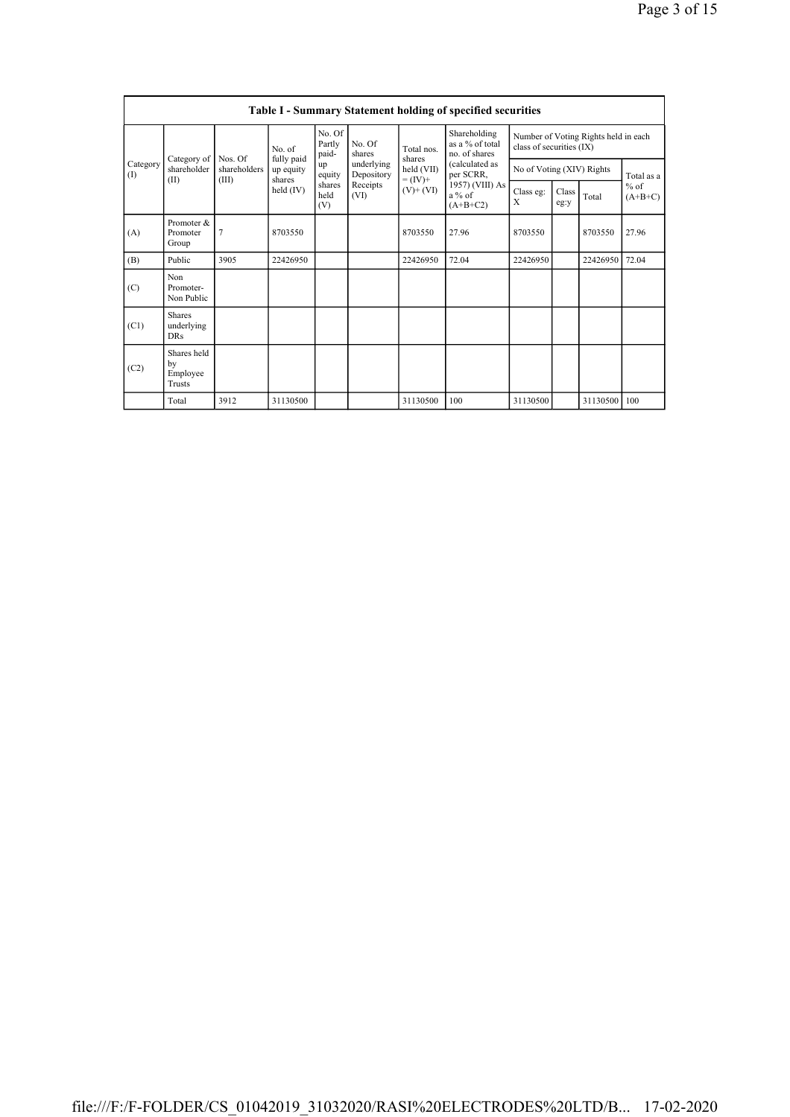|                 | <b>Table I - Summary Statement holding of specified securities</b> |                         |                         |                           |                          |                                                      |                                                                                                                              |                                                                  |               |          |                     |  |
|-----------------|--------------------------------------------------------------------|-------------------------|-------------------------|---------------------------|--------------------------|------------------------------------------------------|------------------------------------------------------------------------------------------------------------------------------|------------------------------------------------------------------|---------------|----------|---------------------|--|
| Category<br>(1) |                                                                    | No. of                  |                         | No. Of<br>Partly<br>paid- | No. Of<br>shares         | Total nos                                            | Shareholding<br>as a % of total<br>no. of shares<br>(calculated as<br>per SCRR,<br>1957) (VIII) As<br>$a\%$ of<br>$(A+B+C2)$ | Number of Voting Rights held in each<br>class of securities (IX) |               |          |                     |  |
|                 | Category of<br>shareholder                                         | Nos. Of<br>shareholders | fully paid<br>up equity | up<br>equity              | underlying<br>Depository | shares<br>held (VII)<br>$= (IV) +$<br>$(V)$ + $(VI)$ |                                                                                                                              | No of Voting (XIV) Rights                                        |               |          | Total as a          |  |
|                 | (II)                                                               | (III)                   | shares<br>held (IV)     | shares<br>held<br>(V)     | Receipts<br>(VI)         |                                                      |                                                                                                                              | Class eg:<br>X                                                   | Class<br>eg:y | Total    | $%$ of<br>$(A+B+C)$ |  |
| (A)             | Promoter &<br>Promoter<br>Group                                    | 7                       | 8703550                 |                           |                          | 8703550                                              | 27.96                                                                                                                        | 8703550                                                          |               | 8703550  | 27.96               |  |
| (B)             | Public                                                             | 3905                    | 22426950                |                           |                          | 22426950                                             | 72.04                                                                                                                        | 22426950                                                         |               | 22426950 | 72.04               |  |
| (C)             | Non<br>Promoter-<br>Non Public                                     |                         |                         |                           |                          |                                                      |                                                                                                                              |                                                                  |               |          |                     |  |
| (C1)            | <b>Shares</b><br>underlying<br><b>DRs</b>                          |                         |                         |                           |                          |                                                      |                                                                                                                              |                                                                  |               |          |                     |  |
| (C2)            | Shares held<br>by<br>Employee<br>Trusts                            |                         |                         |                           |                          |                                                      |                                                                                                                              |                                                                  |               |          |                     |  |
|                 | Total                                                              | 3912                    | 31130500                |                           |                          | 31130500                                             | 100                                                                                                                          | 31130500                                                         |               | 31130500 | 100                 |  |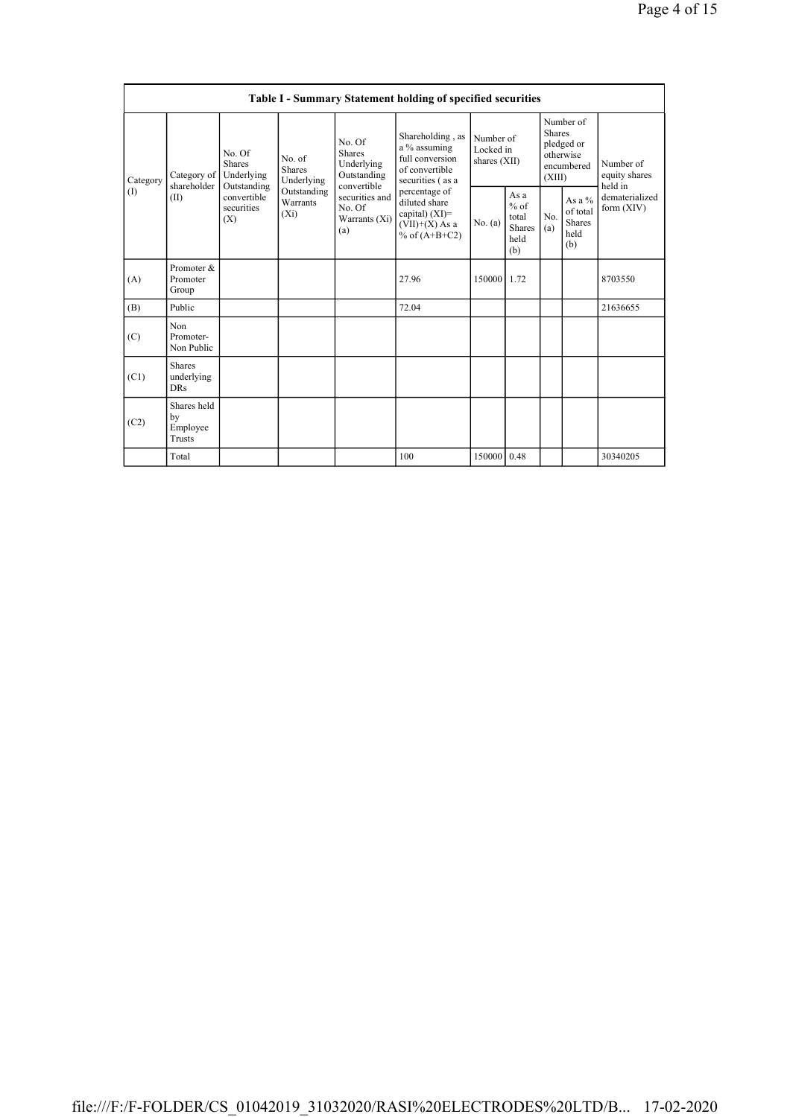|                 | Table I - Summary Statement holding of specified securities |                                                                                                                                                   |             |                                                                                                                  |                                                                                                                                                                                         |                                          |                                                         |                                                                               |                                                    |                                       |  |
|-----------------|-------------------------------------------------------------|---------------------------------------------------------------------------------------------------------------------------------------------------|-------------|------------------------------------------------------------------------------------------------------------------|-----------------------------------------------------------------------------------------------------------------------------------------------------------------------------------------|------------------------------------------|---------------------------------------------------------|-------------------------------------------------------------------------------|----------------------------------------------------|---------------------------------------|--|
| Category<br>(1) | Category of<br>shareholder<br>(II)                          | No. Of<br>No. of<br><b>Shares</b><br>Shares<br>Underlying<br>Underlying<br>Outstanding<br>convertible<br>Warrants<br>securities<br>$(X_i)$<br>(X) |             | No. Of<br>Shares<br>Underlying<br>Outstanding<br>convertible<br>securities and<br>No. Of<br>Warrants (Xi)<br>(a) | Shareholding, as<br>a % assuming<br>full conversion<br>of convertible<br>securities (as a<br>percentage of<br>diluted share<br>capital) $(XI)$ =<br>$(VII)+(X)$ As a<br>% of $(A+B+C2)$ | Number of<br>Locked in<br>shares $(XII)$ |                                                         | Number of<br><b>Shares</b><br>pledged or<br>otherwise<br>encumbered<br>(XIII) |                                                    | Number of<br>equity shares<br>held in |  |
|                 |                                                             |                                                                                                                                                   | Outstanding |                                                                                                                  |                                                                                                                                                                                         | No. (a)                                  | As a<br>$%$ of<br>total<br><b>Shares</b><br>held<br>(b) | No.<br>(a)                                                                    | As a %<br>of total<br><b>Shares</b><br>held<br>(b) | dematerialized<br>form (XIV)          |  |
| (A)             | Promoter &<br>Promoter<br>Group                             |                                                                                                                                                   |             |                                                                                                                  | 27.96                                                                                                                                                                                   | 150000 1.72                              |                                                         |                                                                               |                                                    | 8703550                               |  |
| (B)             | Public                                                      |                                                                                                                                                   |             |                                                                                                                  | 72.04                                                                                                                                                                                   |                                          |                                                         |                                                                               |                                                    | 21636655                              |  |
| (C)             | Non<br>Promoter-<br>Non Public                              |                                                                                                                                                   |             |                                                                                                                  |                                                                                                                                                                                         |                                          |                                                         |                                                                               |                                                    |                                       |  |
| (C1)            | Shares<br>underlying<br><b>DRs</b>                          |                                                                                                                                                   |             |                                                                                                                  |                                                                                                                                                                                         |                                          |                                                         |                                                                               |                                                    |                                       |  |
| (C2)            | Shares held<br>by<br>Employee<br>Trusts                     |                                                                                                                                                   |             |                                                                                                                  |                                                                                                                                                                                         |                                          |                                                         |                                                                               |                                                    |                                       |  |
|                 | Total                                                       |                                                                                                                                                   |             |                                                                                                                  | 100                                                                                                                                                                                     | 150000 0.48                              |                                                         |                                                                               |                                                    | 30340205                              |  |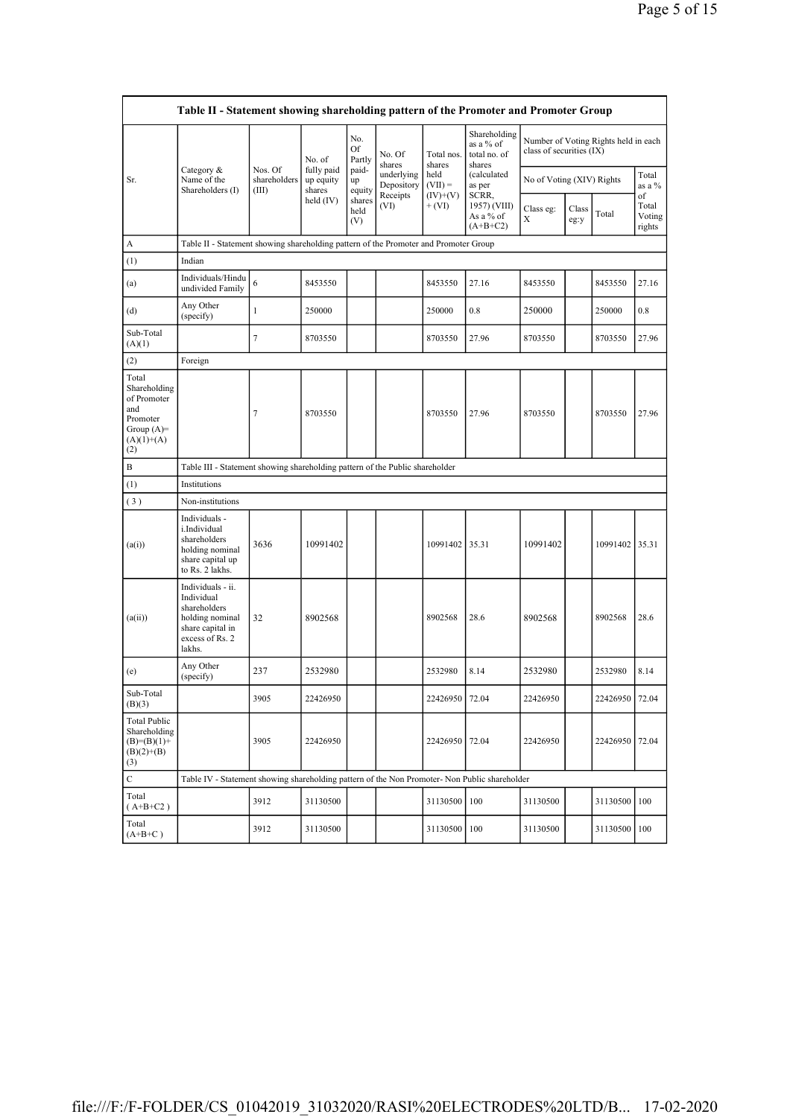|                                                                                                | Table II - Statement showing shareholding pattern of the Promoter and Promoter Group                                |                                  |                                   |                       |                          |                        |                                                                                       |                                                                  |               |          |                                 |
|------------------------------------------------------------------------------------------------|---------------------------------------------------------------------------------------------------------------------|----------------------------------|-----------------------------------|-----------------------|--------------------------|------------------------|---------------------------------------------------------------------------------------|------------------------------------------------------------------|---------------|----------|---------------------------------|
|                                                                                                |                                                                                                                     | Nos. Of<br>shareholders<br>(III) | No. of                            | No.<br>Of<br>Partly   | No. Of<br>shares         | Total nos.<br>shares   | Shareholding<br>as a % of<br>total no. of<br>shares<br>(calculated<br>as per<br>SCRR, | Number of Voting Rights held in each<br>class of securities (IX) |               |          |                                 |
| Sr.                                                                                            | Category $\&$<br>Name of the<br>Shareholders (I)                                                                    |                                  | fully paid<br>up equity<br>shares | paid-<br>up<br>equity | underlying<br>Depository | held<br>$(VII) =$      |                                                                                       | No of Voting (XIV) Rights                                        |               |          | Total<br>as a $\%$              |
|                                                                                                |                                                                                                                     |                                  | held (IV)                         | shares<br>held<br>(V) | Receipts<br>(VI)         | $(IV)+(V)$<br>$+ (VI)$ | 1957) (VIII)<br>As a % of<br>$(A+B+C2)$                                               | Class eg:<br>X                                                   | Class<br>eg:y | Total    | of<br>Total<br>Voting<br>rights |
| A                                                                                              | Table II - Statement showing shareholding pattern of the Promoter and Promoter Group                                |                                  |                                   |                       |                          |                        |                                                                                       |                                                                  |               |          |                                 |
| (1)                                                                                            | Indian                                                                                                              |                                  |                                   |                       |                          |                        |                                                                                       |                                                                  |               |          |                                 |
| (a)                                                                                            | Individuals/Hindu<br>undivided Family                                                                               | 6                                | 8453550                           |                       |                          | 8453550                | 27.16                                                                                 | 8453550                                                          |               | 8453550  | 27.16                           |
| (d)                                                                                            | Any Other<br>(specify)                                                                                              | $\mathbf{1}$                     | 250000                            |                       |                          | 250000                 | 0.8                                                                                   | 250000                                                           |               | 250000   | 0.8                             |
| Sub-Total<br>(A)(1)                                                                            |                                                                                                                     | 7                                | 8703550                           |                       |                          | 8703550                | 27.96                                                                                 | 8703550                                                          |               | 8703550  | 27.96                           |
| (2)                                                                                            | Foreign                                                                                                             |                                  |                                   |                       |                          |                        |                                                                                       |                                                                  |               |          |                                 |
| Total<br>Shareholding<br>of Promoter<br>and<br>Promoter<br>Group $(A)=$<br>$(A)(1)+(A)$<br>(2) |                                                                                                                     | 7                                | 8703550                           |                       |                          | 8703550                | 27.96                                                                                 | 8703550                                                          |               | 8703550  | 27.96                           |
| B                                                                                              | Table III - Statement showing shareholding pattern of the Public shareholder                                        |                                  |                                   |                       |                          |                        |                                                                                       |                                                                  |               |          |                                 |
| (1)                                                                                            | Institutions                                                                                                        |                                  |                                   |                       |                          |                        |                                                                                       |                                                                  |               |          |                                 |
| (3)                                                                                            | Non-institutions                                                                                                    |                                  |                                   |                       |                          |                        |                                                                                       |                                                                  |               |          |                                 |
| (a(i))                                                                                         | Individuals -<br>i.Individual<br>shareholders<br>holding nominal<br>share capital up<br>to Rs. 2 lakhs.             | 3636                             | 10991402                          |                       |                          | 10991402 35.31         |                                                                                       | 10991402                                                         |               | 10991402 | 35.31                           |
| (a(ii))                                                                                        | Individuals - ii.<br>Individual<br>shareholders<br>holding nominal<br>share capital in<br>excess of Rs. 2<br>lakhs. | 32                               | 8902568                           |                       |                          | 8902568                | 28.6                                                                                  | 8902568                                                          |               | 8902568  | 28.6                            |
| (e)                                                                                            | Any Other<br>(specify)                                                                                              | 237                              | 2532980                           |                       |                          | 2532980                | 8.14                                                                                  | 2532980                                                          |               | 2532980  | 8.14                            |
| Sub-Total<br>(B)(3)                                                                            |                                                                                                                     | 3905                             | 22426950                          |                       |                          | 22426950 72.04         |                                                                                       | 22426950                                                         |               | 22426950 | 72.04                           |
| <b>Total Public</b><br>Shareholding<br>$(B)= (B)(1) +$<br>$(B)(2)+(B)$<br>(3)                  |                                                                                                                     | 3905                             | 22426950                          |                       |                          | 22426950               | 72.04                                                                                 | 22426950                                                         |               | 22426950 | 72.04                           |
| $\mathbf C$                                                                                    | Table IV - Statement showing shareholding pattern of the Non Promoter- Non Public shareholder                       |                                  |                                   |                       |                          |                        |                                                                                       |                                                                  |               |          |                                 |
| Total<br>$(A+B+C2)$                                                                            |                                                                                                                     | 3912                             | 31130500                          |                       |                          | 31130500               | 100                                                                                   | 31130500                                                         |               | 31130500 | 100                             |
| Total<br>$(A+B+C)$                                                                             |                                                                                                                     | 3912                             | 31130500                          |                       |                          | 31130500               | 100                                                                                   | 31130500                                                         |               | 31130500 | 100                             |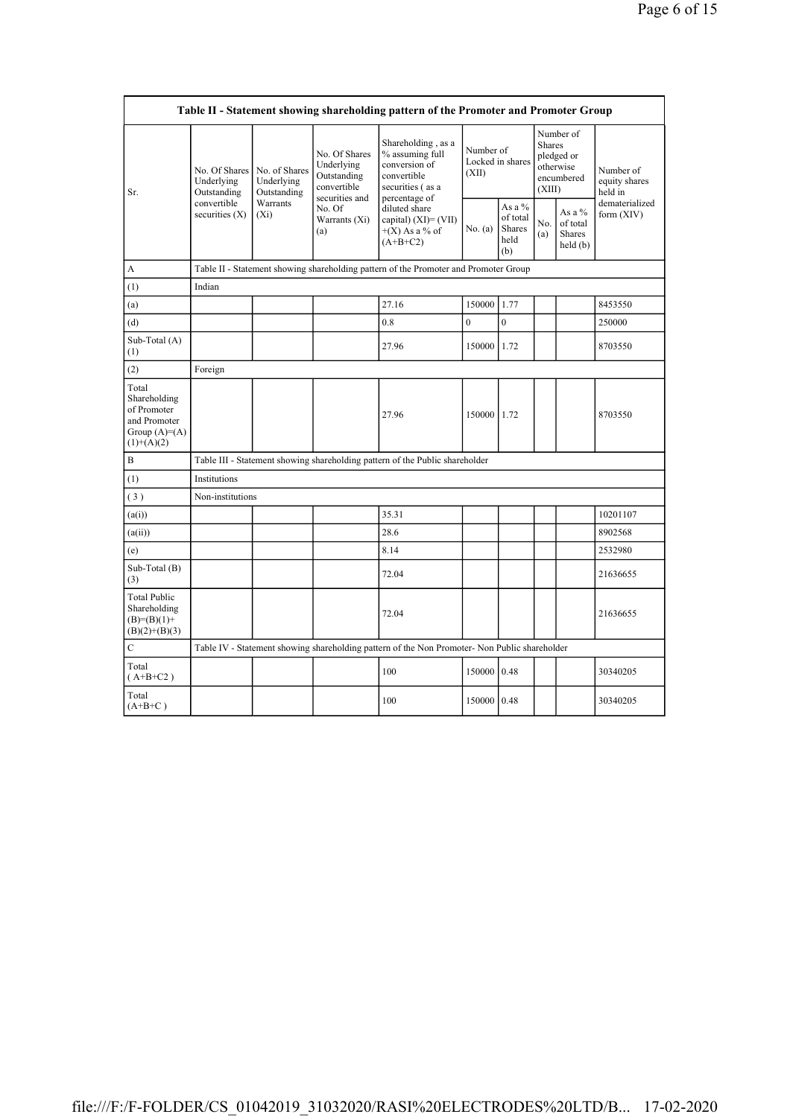| Table II - Statement showing shareholding pattern of the Promoter and Promoter Group   |                                                                               |                                            |                                                           |                                                                                              |                                        |                                                      |                                                                               |                                         |                                       |  |
|----------------------------------------------------------------------------------------|-------------------------------------------------------------------------------|--------------------------------------------|-----------------------------------------------------------|----------------------------------------------------------------------------------------------|----------------------------------------|------------------------------------------------------|-------------------------------------------------------------------------------|-----------------------------------------|---------------------------------------|--|
| Sr.                                                                                    | No. Of Shares<br>Underlying<br>Outstanding<br>convertible<br>securities $(X)$ | No. of Shares<br>Underlying<br>Outstanding | No. Of Shares<br>Underlying<br>Outstanding<br>convertible | Shareholding, as a<br>% assuming full<br>conversion of<br>convertible<br>securities (as a    | Number of<br>Locked in shares<br>(XII) |                                                      | Number of<br><b>Shares</b><br>pledged or<br>otherwise<br>encumbered<br>(XIII) |                                         | Number of<br>equity shares<br>held in |  |
|                                                                                        |                                                                               | Warrants<br>$(X_i)$                        | securities and<br>No. Of<br>Warrants (Xi)<br>(a)          | percentage of<br>diluted share<br>capital) $(XI) = (VII)$<br>$+(X)$ As a % of<br>$(A+B+C2)$  | No. (a)                                | As a $%$<br>of total<br><b>Shares</b><br>held<br>(b) | No.<br>(a)                                                                    | As a %<br>of total<br>Shares<br>held(b) | dematerialized<br>form $(XIV)$        |  |
| А                                                                                      |                                                                               |                                            |                                                           | Table II - Statement showing shareholding pattern of the Promoter and Promoter Group         |                                        |                                                      |                                                                               |                                         |                                       |  |
| (1)                                                                                    | Indian                                                                        |                                            |                                                           |                                                                                              |                                        |                                                      |                                                                               |                                         |                                       |  |
| (a)                                                                                    |                                                                               |                                            |                                                           | 27.16                                                                                        | 150000                                 | 1.77                                                 |                                                                               |                                         | 8453550                               |  |
| (d)                                                                                    |                                                                               |                                            |                                                           | 0.8                                                                                          | $\overline{0}$                         | $\overline{0}$                                       |                                                                               |                                         | 250000                                |  |
| Sub-Total (A)<br>(1)                                                                   |                                                                               |                                            |                                                           | 27.96                                                                                        | 150000 1.72                            |                                                      |                                                                               |                                         | 8703550                               |  |
| (2)                                                                                    | Foreign                                                                       |                                            |                                                           |                                                                                              |                                        |                                                      |                                                                               |                                         |                                       |  |
| Total<br>Shareholding<br>of Promoter<br>and Promoter<br>Group $(A)=A)$<br>$(1)+(A)(2)$ |                                                                               |                                            |                                                           | 27.96                                                                                        | 150000 1.72                            |                                                      |                                                                               |                                         | 8703550                               |  |
| B                                                                                      |                                                                               |                                            |                                                           | Table III - Statement showing shareholding pattern of the Public shareholder                 |                                        |                                                      |                                                                               |                                         |                                       |  |
| (1)                                                                                    | Institutions                                                                  |                                            |                                                           |                                                                                              |                                        |                                                      |                                                                               |                                         |                                       |  |
| (3)                                                                                    | Non-institutions                                                              |                                            |                                                           |                                                                                              |                                        |                                                      |                                                                               |                                         |                                       |  |
| (a(i))                                                                                 |                                                                               |                                            |                                                           | 35.31                                                                                        |                                        |                                                      |                                                                               |                                         | 10201107                              |  |
| (a(ii))                                                                                |                                                                               |                                            |                                                           | 28.6                                                                                         |                                        |                                                      |                                                                               |                                         | 8902568                               |  |
| (e)                                                                                    |                                                                               |                                            |                                                           | 8.14                                                                                         |                                        |                                                      |                                                                               |                                         | 2532980                               |  |
| Sub-Total (B)<br>(3)                                                                   |                                                                               |                                            |                                                           | 72.04                                                                                        |                                        |                                                      |                                                                               |                                         | 21636655                              |  |
| <b>Total Public</b><br>Shareholding<br>$(B)= (B)(1) +$<br>$(B)(2)+(B)(3)$              |                                                                               |                                            |                                                           | 72.04                                                                                        |                                        |                                                      |                                                                               |                                         | 21636655                              |  |
| $\mathcal{C}$                                                                          |                                                                               |                                            |                                                           | Table IV - Statement showing shareholding pattern of the Non Promoter-Non Public shareholder |                                        |                                                      |                                                                               |                                         |                                       |  |
| Total<br>$(A+B+C2)$                                                                    |                                                                               |                                            |                                                           | 100                                                                                          | 150000                                 | 0.48                                                 |                                                                               |                                         | 30340205                              |  |
| Total<br>$(A+B+C)$                                                                     |                                                                               |                                            |                                                           | 100                                                                                          | 150000 0.48                            |                                                      |                                                                               |                                         | 30340205                              |  |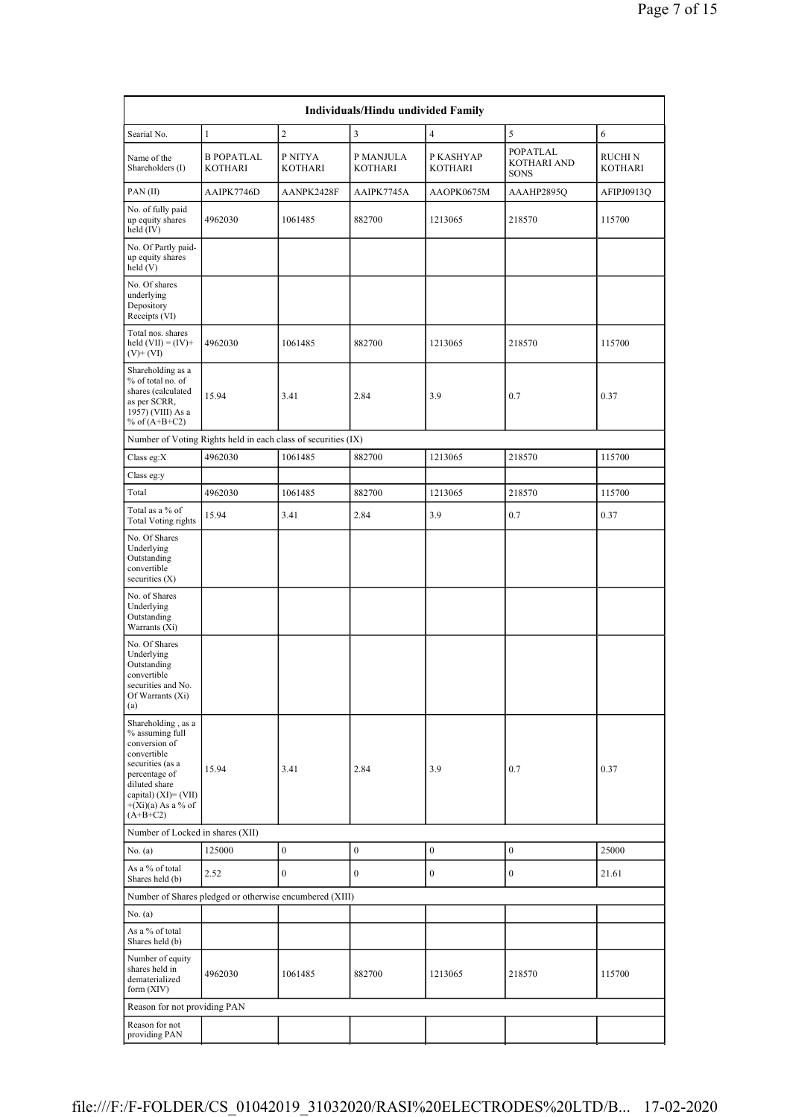| Individuals/Hindu undivided Family                                                                                                                                                           |                                                               |                           |                             |                      |                                               |                    |  |  |  |  |
|----------------------------------------------------------------------------------------------------------------------------------------------------------------------------------------------|---------------------------------------------------------------|---------------------------|-----------------------------|----------------------|-----------------------------------------------|--------------------|--|--|--|--|
| Searial No.                                                                                                                                                                                  | $\mathbf{1}$                                                  | $\overline{c}$            | $\overline{\mathbf{3}}$     | $\overline{4}$       | 5                                             | 6                  |  |  |  |  |
| Name of the<br>Shareholders (I)                                                                                                                                                              | <b>B POPATLAL</b><br><b>KOTHARI</b>                           | P NITYA<br><b>KOTHARI</b> | P MANJULA<br><b>KOTHARI</b> | P KASHYAP<br>KOTHARI | POPATLAL<br><b>KOTHARI AND</b><br><b>SONS</b> | RUCHI N<br>KOTHARI |  |  |  |  |
| PAN(II)                                                                                                                                                                                      | AAIPK7746D                                                    | AANPK2428F                | AAIPK7745A                  | AAOPK0675M           | AAAHP2895Q                                    | AFIPJ0913Q         |  |  |  |  |
| No. of fully paid<br>up equity shares<br>held (IV)                                                                                                                                           | 4962030                                                       | 1061485                   | 882700                      | 1213065              | 218570                                        | 115700             |  |  |  |  |
| No. Of Partly paid-<br>up equity shares<br>held (V)                                                                                                                                          |                                                               |                           |                             |                      |                                               |                    |  |  |  |  |
| No. Of shares<br>underlying<br>Depository<br>Receipts (VI)                                                                                                                                   |                                                               |                           |                             |                      |                                               |                    |  |  |  |  |
| Total nos. shares<br>held $(VII) = (IV) +$<br>$(V)+(VI)$                                                                                                                                     | 4962030                                                       | 1061485                   | 882700                      | 1213065              | 218570                                        | 115700             |  |  |  |  |
| Shareholding as a<br>% of total no. of<br>shares (calculated<br>as per SCRR,<br>1957) (VIII) As a<br>% of $(A+B+C2)$                                                                         | 15.94                                                         | 3.41                      | 2.84                        | 3.9                  | 0.7                                           | 0.37               |  |  |  |  |
|                                                                                                                                                                                              | Number of Voting Rights held in each class of securities (IX) |                           |                             |                      |                                               |                    |  |  |  |  |
| Class eg:X                                                                                                                                                                                   | 4962030                                                       | 1061485                   | 882700                      | 1213065              | 218570                                        | 115700             |  |  |  |  |
| Class eg:y                                                                                                                                                                                   |                                                               |                           |                             |                      |                                               |                    |  |  |  |  |
| Total                                                                                                                                                                                        | 4962030                                                       | 1061485                   | 882700                      | 1213065              | 218570                                        | 115700             |  |  |  |  |
| Total as a % of<br><b>Total Voting rights</b>                                                                                                                                                | 15.94                                                         | 3.41                      | 2.84                        | 3.9                  | 0.7                                           | 0.37               |  |  |  |  |
| No. Of Shares<br>Underlying<br>Outstanding<br>convertible<br>securities $(X)$                                                                                                                |                                                               |                           |                             |                      |                                               |                    |  |  |  |  |
| No. of Shares<br>Underlying<br>Outstanding<br>Warrants (Xi)                                                                                                                                  |                                                               |                           |                             |                      |                                               |                    |  |  |  |  |
| No. Of Shares<br>Underlying<br>Outstanding<br>convertible<br>securities and No.<br>Of Warrants (Xi)<br>(a)                                                                                   |                                                               |                           |                             |                      |                                               |                    |  |  |  |  |
| Shareholding, as a<br>% assuming full<br>conversion of<br>convertible<br>securities (as a<br>percentage of<br>diluted share<br>capital) $(XI) = (VII)$<br>$+(Xi)(a)$ As a % of<br>$(A+B+C2)$ | 15.94                                                         | 3.41                      | 2.84                        | 3.9                  | 0.7                                           | 0.37               |  |  |  |  |
| Number of Locked in shares (XII)                                                                                                                                                             |                                                               |                           |                             |                      |                                               |                    |  |  |  |  |
| No. (a)                                                                                                                                                                                      | 125000                                                        | $\boldsymbol{0}$          | $\boldsymbol{0}$            | $\boldsymbol{0}$     | $\boldsymbol{0}$                              | 25000              |  |  |  |  |
| As a % of total<br>Shares held (b)                                                                                                                                                           | 2.52                                                          | $\mathbf{0}$              | $\mathbf{0}$                | $\boldsymbol{0}$     | $\boldsymbol{0}$                              | 21.61              |  |  |  |  |
|                                                                                                                                                                                              | Number of Shares pledged or otherwise encumbered (XIII)       |                           |                             |                      |                                               |                    |  |  |  |  |
| No. (a)                                                                                                                                                                                      |                                                               |                           |                             |                      |                                               |                    |  |  |  |  |
| As a % of total<br>Shares held (b)                                                                                                                                                           |                                                               |                           |                             |                      |                                               |                    |  |  |  |  |
| Number of equity<br>shares held in<br>dematerialized<br>form $(XIV)$                                                                                                                         | 4962030                                                       | 1061485                   | 882700                      | 1213065              | 218570                                        | 115700             |  |  |  |  |
| Reason for not providing PAN                                                                                                                                                                 |                                                               |                           |                             |                      |                                               |                    |  |  |  |  |
| Reason for not<br>providing PAN                                                                                                                                                              |                                                               |                           |                             |                      |                                               |                    |  |  |  |  |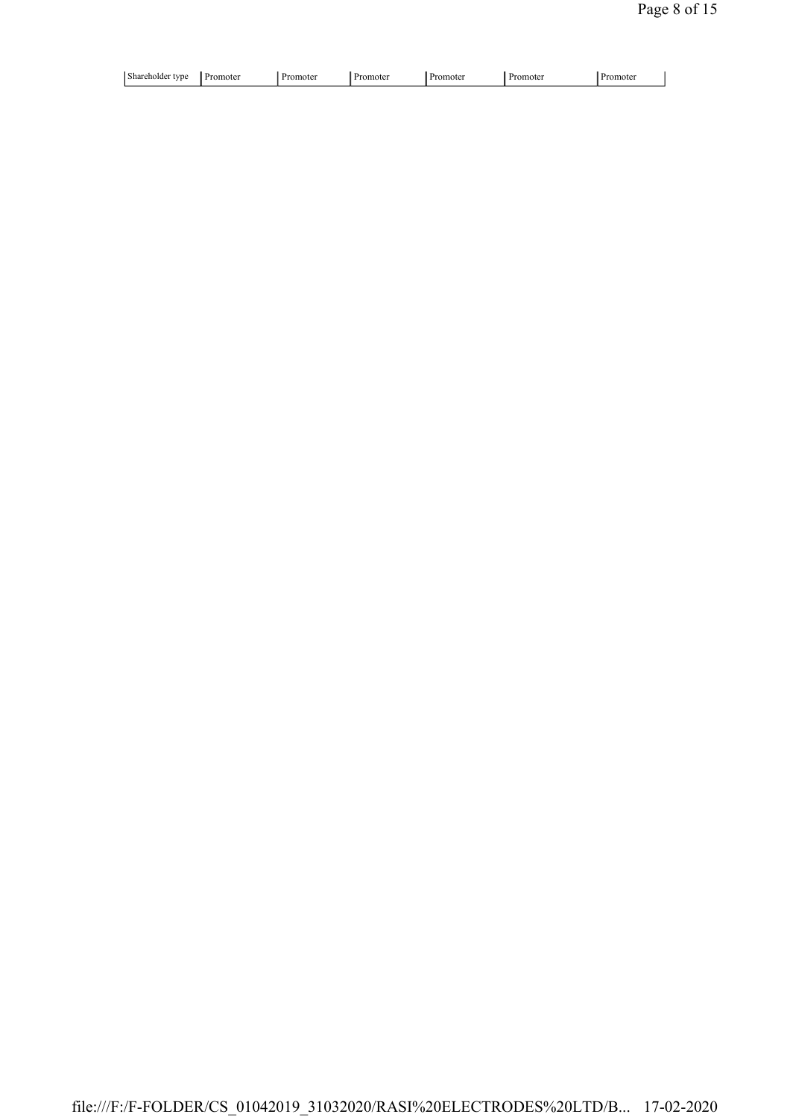| $\sim$<br>Shar<br>tyne<br>eholde<br>∿v D⊌<br>. . | ٦m<br>moter<br> | mote.<br>ΩТ | omoter | notei<br><br>۱г | .10ter<br>н | omote |
|--------------------------------------------------|-----------------|-------------|--------|-----------------|-------------|-------|
|                                                  |                 |             |        |                 |             |       |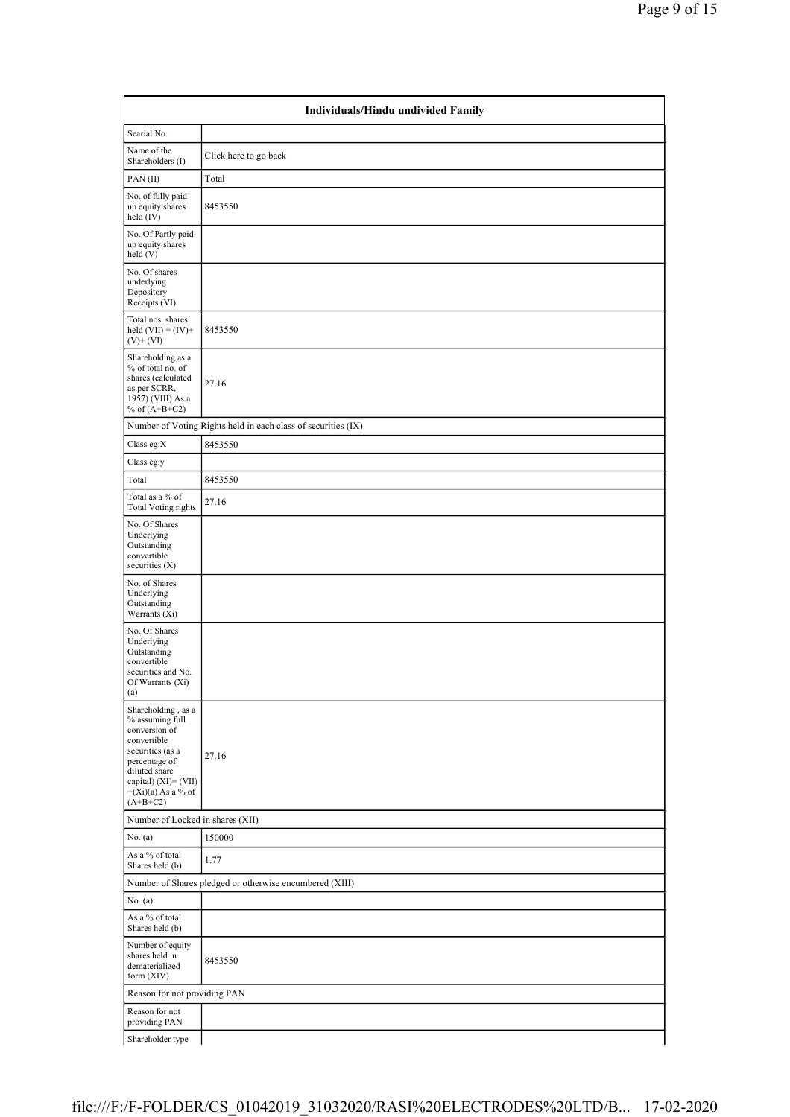| Searial No.                                                                                                                                                                                  |                                                               |
|----------------------------------------------------------------------------------------------------------------------------------------------------------------------------------------------|---------------------------------------------------------------|
| Name of the<br>Shareholders (I)                                                                                                                                                              | Click here to go back                                         |
| PAN(II)                                                                                                                                                                                      | Total                                                         |
| No. of fully paid<br>up equity shares<br>held $(IV)$                                                                                                                                         | 8453550                                                       |
| No. Of Partly paid-<br>up equity shares<br>held(V)                                                                                                                                           |                                                               |
| No. Of shares<br>underlying<br>Depository<br>Receipts (VI)                                                                                                                                   |                                                               |
| Total nos. shares<br>held $(VII) = (IV) +$<br>$(V)$ + $(VI)$                                                                                                                                 | 8453550                                                       |
| Shareholding as a<br>% of total no. of<br>shares (calculated<br>as per SCRR,<br>1957) (VIII) As a<br>% of $(A+B+C2)$                                                                         | 27.16                                                         |
|                                                                                                                                                                                              | Number of Voting Rights held in each class of securities (IX) |
| Class eg: $X$                                                                                                                                                                                | 8453550                                                       |
| Class eg:y                                                                                                                                                                                   |                                                               |
| Total                                                                                                                                                                                        | 8453550                                                       |
| Total as a % of<br>Total Voting rights                                                                                                                                                       | 27.16                                                         |
| No. Of Shares<br>Underlying<br>Outstanding<br>convertible<br>securities $(X)$                                                                                                                |                                                               |
| No. of Shares<br>Underlying<br>Outstanding<br>Warrants $(X_i)$                                                                                                                               |                                                               |
| No. Of Shares<br>Underlying<br>Outstanding<br>convertible<br>securities and No.<br>Of Warrants (Xi)<br>(a)                                                                                   |                                                               |
| Shareholding, as a<br>% assuming full<br>conversion of<br>convertible<br>securities (as a<br>percentage of<br>diluted share<br>capital) $(XI) = (VII)$<br>$+(Xi)(a)$ As a % of<br>$(A+B+C2)$ | 27.16                                                         |
| Number of Locked in shares (XII)                                                                                                                                                             |                                                               |
| No. (a)                                                                                                                                                                                      | 150000                                                        |
| As a % of total<br>Shares held (b)                                                                                                                                                           | 1.77                                                          |
|                                                                                                                                                                                              | Number of Shares pledged or otherwise encumbered (XIII)       |
| No. $(a)$                                                                                                                                                                                    |                                                               |
| As a % of total<br>Shares held (b)                                                                                                                                                           |                                                               |
| Number of equity<br>shares held in<br>dematerialized<br>form $(XIV)$                                                                                                                         | 8453550                                                       |
| Reason for not providing PAN                                                                                                                                                                 |                                                               |
| Reason for not<br>providing PAN                                                                                                                                                              |                                                               |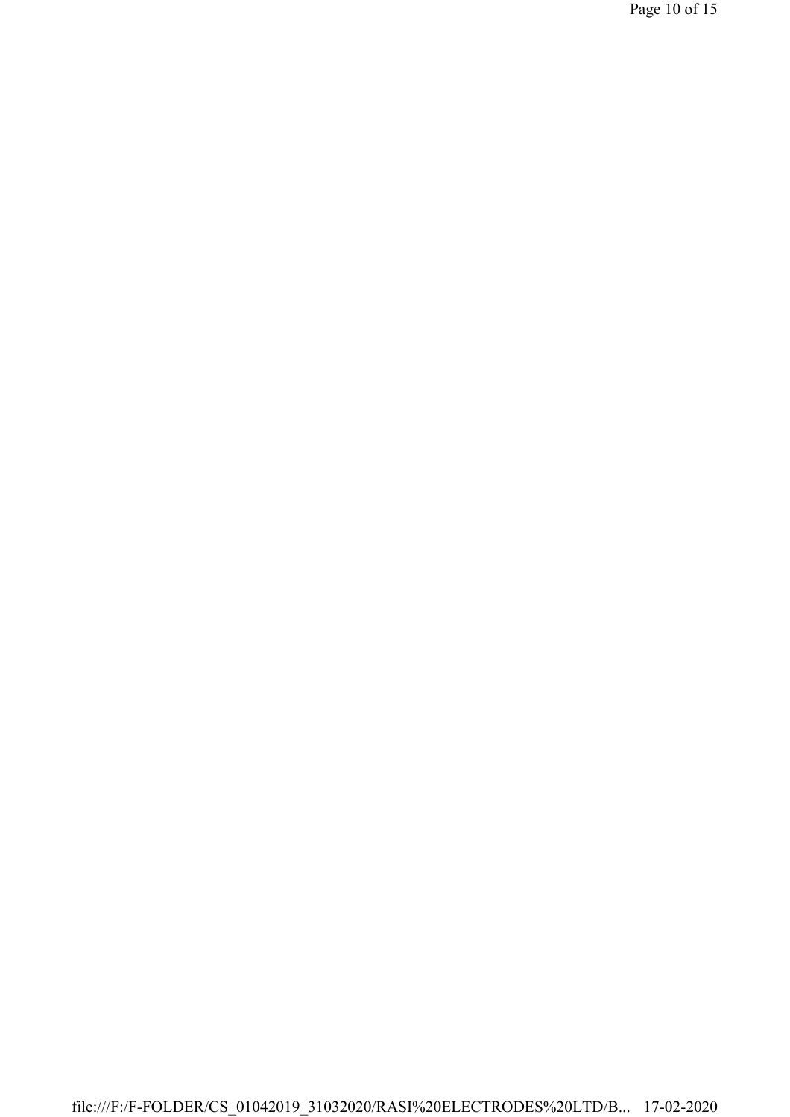Page 10 of 15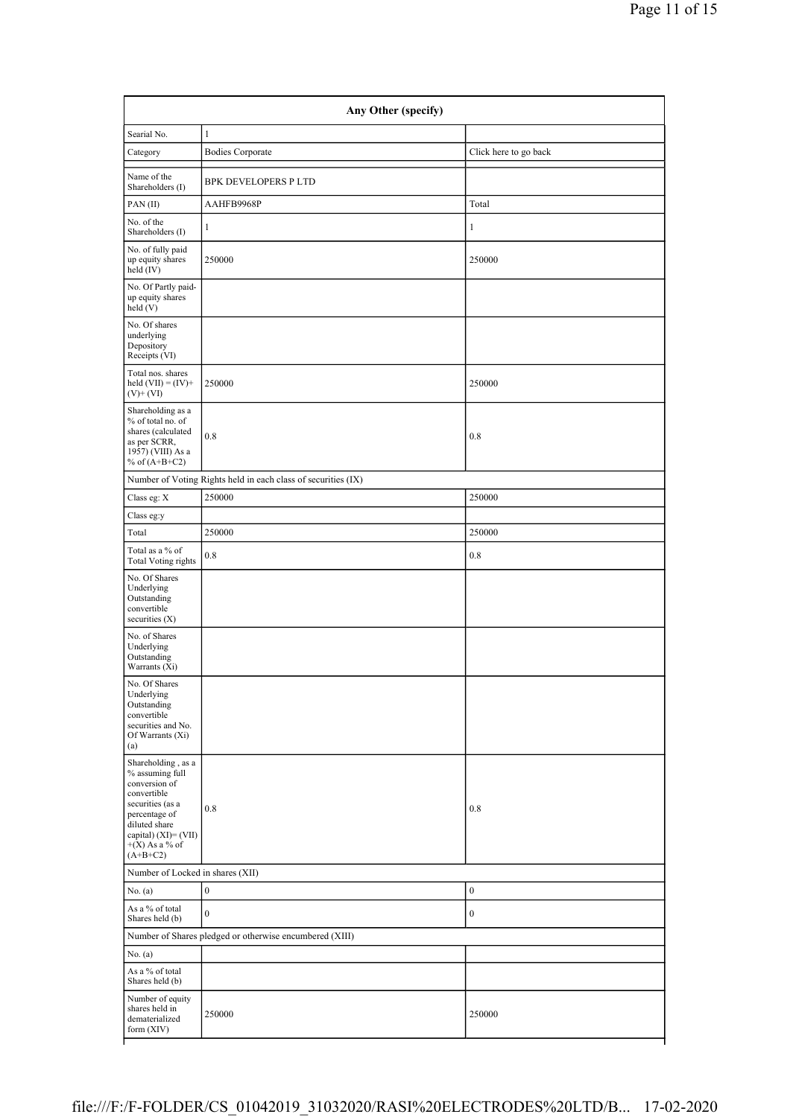| Searial No.                                                                                                                                                                              | $\mathbf{1}$                                                  |                       |  |
|------------------------------------------------------------------------------------------------------------------------------------------------------------------------------------------|---------------------------------------------------------------|-----------------------|--|
| Category                                                                                                                                                                                 | <b>Bodies Corporate</b>                                       | Click here to go back |  |
| Name of the<br>Shareholders (I)                                                                                                                                                          | <b>BPK DEVELOPERS P LTD</b>                                   |                       |  |
| PAN(II)                                                                                                                                                                                  | AAHFB9968P                                                    | Total                 |  |
| No. of the<br>Shareholders (I)                                                                                                                                                           | $\mathbf{1}$                                                  | 1                     |  |
| No. of fully paid<br>up equity shares<br>held (IV)                                                                                                                                       | 250000                                                        | 250000                |  |
| No. Of Partly paid-<br>up equity shares<br>held(V)                                                                                                                                       |                                                               |                       |  |
| No. Of shares<br>underlying<br>Depository<br>Receipts (VI)                                                                                                                               |                                                               |                       |  |
| Total nos. shares<br>held $(VII) = (IV) +$<br>$(V)+(VI)$                                                                                                                                 | 250000                                                        | 250000                |  |
| Shareholding as a<br>% of total no. of<br>shares (calculated<br>as per SCRR,<br>1957) (VIII) As a<br>% of $(A+B+C2)$                                                                     | 0.8                                                           | 0.8                   |  |
|                                                                                                                                                                                          | Number of Voting Rights held in each class of securities (IX) |                       |  |
| Class eg: X                                                                                                                                                                              | 250000                                                        | 250000                |  |
| Class eg:y                                                                                                                                                                               |                                                               |                       |  |
| Total                                                                                                                                                                                    | 250000                                                        | 250000                |  |
| Total as a % of<br><b>Total Voting rights</b>                                                                                                                                            | 0.8                                                           | 0.8                   |  |
| No. Of Shares<br>Underlying<br>Outstanding<br>convertible<br>securities $(X)$                                                                                                            |                                                               |                       |  |
| No. of Shares<br>Underlying<br>Outstanding<br>Warrants $(X_i)$                                                                                                                           |                                                               |                       |  |
| No. Of Shares<br>Underlying<br>Outstanding<br>convertible<br>securities and No.<br>Of Warrants (Xi)<br>(a)                                                                               |                                                               |                       |  |
| Shareholding, as a<br>% assuming full<br>conversion of<br>convertible<br>securities (as a<br>percentage of<br>diluted share<br>capital) $(XI) = (VII)$<br>$+(X)$ As a % of<br>$(A+B+C2)$ | 0.8                                                           | 0.8                   |  |
| Number of Locked in shares (XII)                                                                                                                                                         |                                                               |                       |  |
| No. (a)                                                                                                                                                                                  | $\overline{0}$                                                | $\boldsymbol{0}$      |  |
| As a % of total<br>Shares held (b)                                                                                                                                                       | $\overline{0}$                                                | $\boldsymbol{0}$      |  |
|                                                                                                                                                                                          | Number of Shares pledged or otherwise encumbered (XIII)       |                       |  |
| No. (a)                                                                                                                                                                                  |                                                               |                       |  |
| As a % of total<br>Shares held (b)                                                                                                                                                       |                                                               |                       |  |
| Number of equity<br>shares held in<br>dematerialized<br>form (XIV)                                                                                                                       | 250000                                                        | 250000                |  |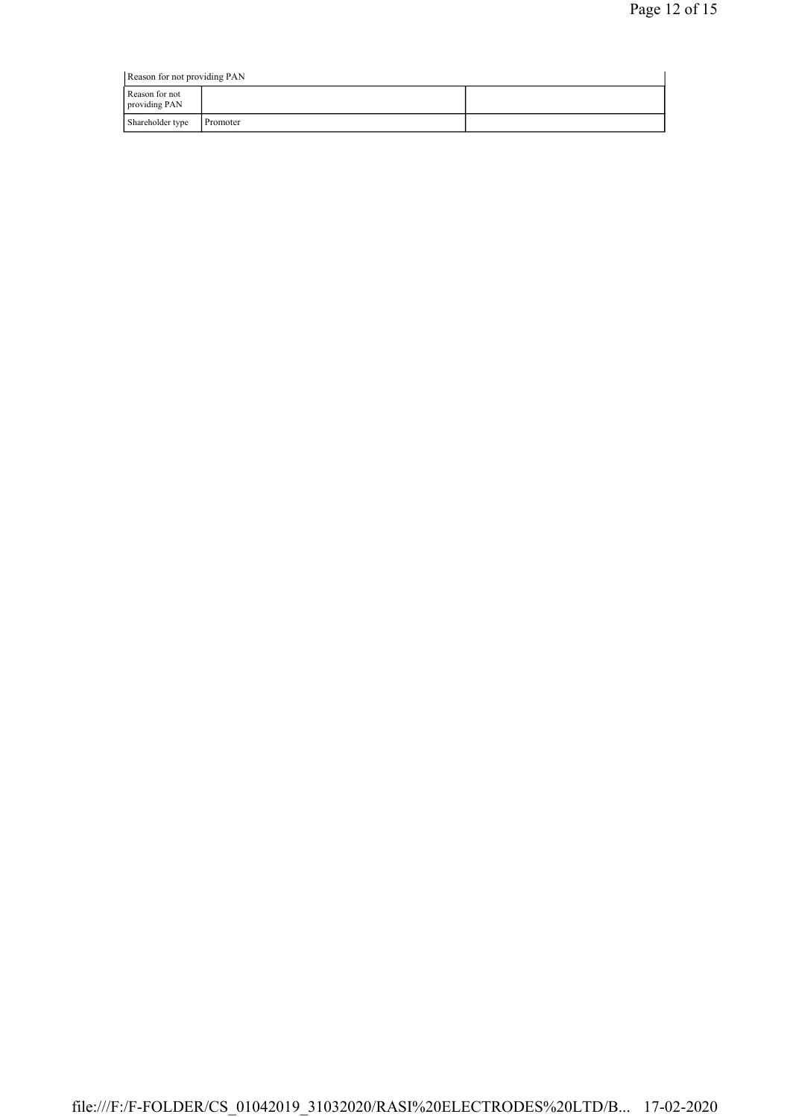| Reason for not providing PAN    |          |  |  |  |  |  |  |
|---------------------------------|----------|--|--|--|--|--|--|
| Reason for not<br>providing PAN |          |  |  |  |  |  |  |
| Shareholder type                | Promoter |  |  |  |  |  |  |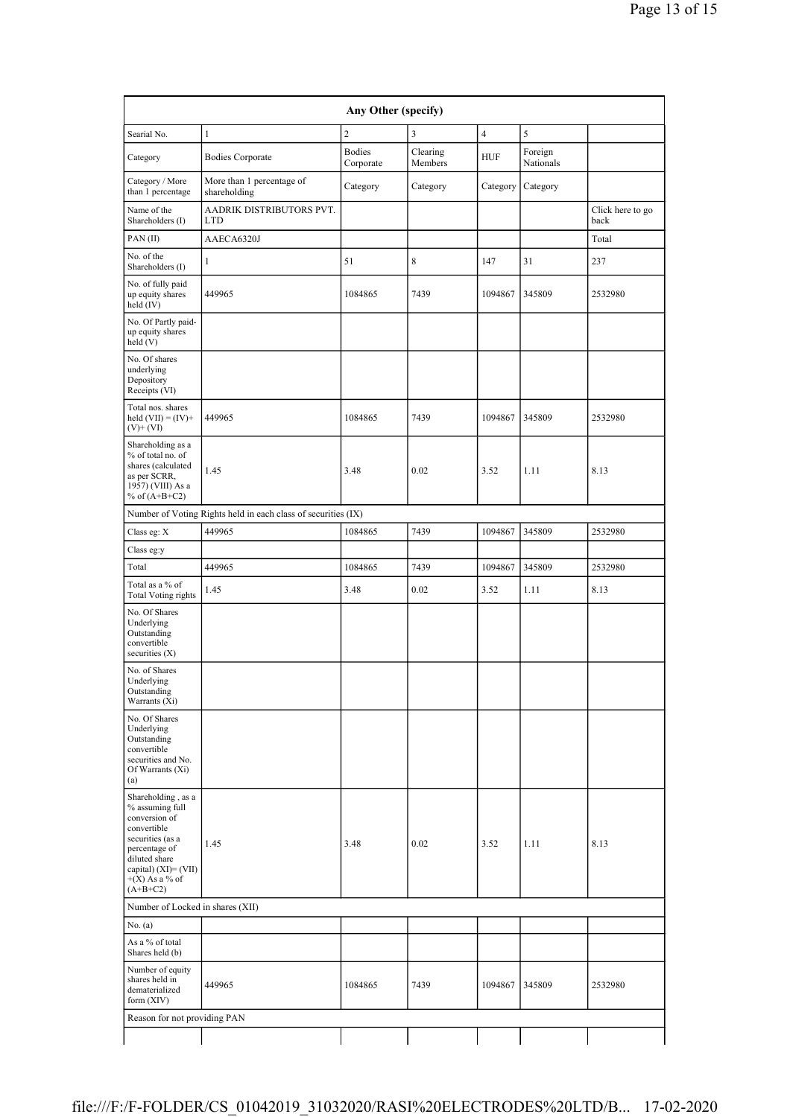| Any Other (specify)                                                                                                                                                                      |                                           |                            |                     |                         |                      |                          |  |  |  |
|------------------------------------------------------------------------------------------------------------------------------------------------------------------------------------------|-------------------------------------------|----------------------------|---------------------|-------------------------|----------------------|--------------------------|--|--|--|
| Searial No.                                                                                                                                                                              | $\mathbf{1}$                              | $\overline{c}$             | 3                   | $\overline{\mathbf{4}}$ | 5                    |                          |  |  |  |
| Category                                                                                                                                                                                 | <b>Bodies Corporate</b>                   | <b>Bodies</b><br>Corporate | Clearing<br>Members | <b>HUF</b>              | Foreign<br>Nationals |                          |  |  |  |
| Category / More<br>than 1 percentage                                                                                                                                                     | More than 1 percentage of<br>shareholding | Category                   | Category            | Category                | Category             |                          |  |  |  |
| Name of the<br>Shareholders (I)                                                                                                                                                          | AADRIK DISTRIBUTORS PVT.<br><b>LTD</b>    |                            |                     |                         |                      | Click here to go<br>back |  |  |  |
| PAN(II)                                                                                                                                                                                  | AAECA6320J                                |                            |                     |                         |                      | Total                    |  |  |  |
| No. of the<br>Shareholders (I)                                                                                                                                                           | $\mathbf{1}$                              | 51                         | 8                   | 147                     | 31                   | 237                      |  |  |  |
| No. of fully paid<br>up equity shares<br>held (IV)                                                                                                                                       | 449965                                    | 1084865                    | 7439                | 1094867                 | 345809               | 2532980                  |  |  |  |
| No. Of Partly paid-<br>up equity shares<br>held (V)                                                                                                                                      |                                           |                            |                     |                         |                      |                          |  |  |  |
| No. Of shares<br>underlying<br>Depository<br>Receipts (VI)                                                                                                                               |                                           |                            |                     |                         |                      |                          |  |  |  |
| Total nos. shares<br>held $(VII) = (IV) +$<br>$(V)$ + $(VI)$                                                                                                                             | 449965                                    | 1084865                    | 7439                | 1094867                 | 345809               | 2532980                  |  |  |  |
| Shareholding as a<br>% of total no. of<br>shares (calculated<br>as per SCRR,<br>1957) (VIII) As a<br>% of $(A+B+C2)$                                                                     | 1.45                                      | 3.48                       | 0.02                | 3.52                    | 1.11                 | 8.13                     |  |  |  |
| Number of Voting Rights held in each class of securities (IX)                                                                                                                            |                                           |                            |                     |                         |                      |                          |  |  |  |
| Class eg: X                                                                                                                                                                              | 449965                                    | 1084865                    | 7439                | 1094867                 | 345809               | 2532980                  |  |  |  |
| Class eg:y                                                                                                                                                                               |                                           |                            |                     |                         |                      |                          |  |  |  |
| Total                                                                                                                                                                                    | 449965                                    | 1084865                    | 7439                | 1094867                 | 345809               | 2532980                  |  |  |  |
| Total as a % of<br><b>Total Voting rights</b>                                                                                                                                            | 1.45                                      | 3.48                       | 0.02                | 3.52                    | 1.11                 | 8.13                     |  |  |  |
| No. Of Shares<br>Underlying<br>Outstanding<br>convertible<br>securities $(X)$                                                                                                            |                                           |                            |                     |                         |                      |                          |  |  |  |
| No. of Shares<br>Underlying<br>Outstanding<br>Warrants (Xi)                                                                                                                              |                                           |                            |                     |                         |                      |                          |  |  |  |
| No. Of Shares<br>Underlying<br>Outstanding<br>convertible<br>securities and No.<br>Of Warrants (Xi)<br>(a)                                                                               |                                           |                            |                     |                         |                      |                          |  |  |  |
| Shareholding, as a<br>% assuming full<br>conversion of<br>convertible<br>securities (as a<br>percentage of<br>diluted share<br>capital) $(XI) = (VII)$<br>$+(X)$ As a % of<br>$(A+B+C2)$ | 1.45                                      | 3.48                       | 0.02                | 3.52                    | 1.11                 | 8.13                     |  |  |  |
| Number of Locked in shares (XII)                                                                                                                                                         |                                           |                            |                     |                         |                      |                          |  |  |  |
| No. (a)                                                                                                                                                                                  |                                           |                            |                     |                         |                      |                          |  |  |  |
| As a % of total<br>Shares held (b)                                                                                                                                                       |                                           |                            |                     |                         |                      |                          |  |  |  |
| Number of equity<br>shares held in<br>dematerialized<br>form (XIV)                                                                                                                       | 449965                                    | 1084865                    | 7439                | 1094867                 | 345809               | 2532980                  |  |  |  |
| Reason for not providing PAN                                                                                                                                                             |                                           |                            |                     |                         |                      |                          |  |  |  |
|                                                                                                                                                                                          |                                           |                            |                     |                         |                      |                          |  |  |  |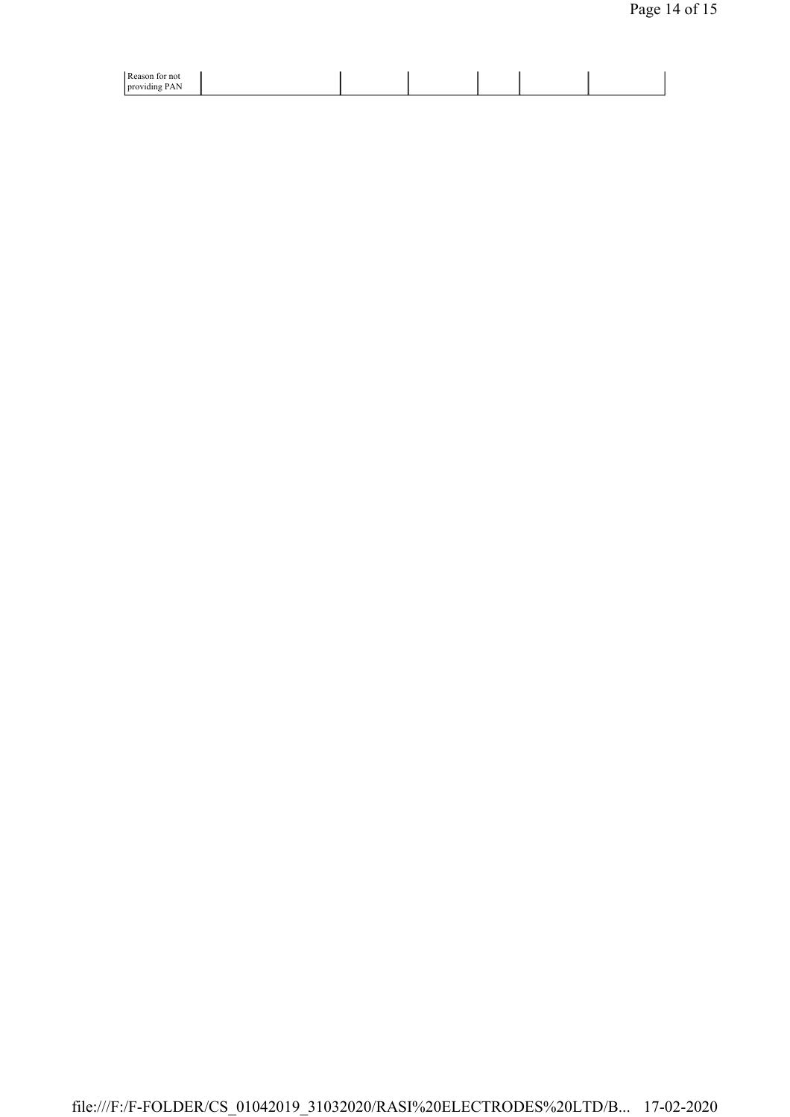| Reason for not<br>.<br>.<br>. NI<br>providing<br>ΡΔ<br>$\mathbf{L}$ |  |  |  |  |  |
|---------------------------------------------------------------------|--|--|--|--|--|
|---------------------------------------------------------------------|--|--|--|--|--|